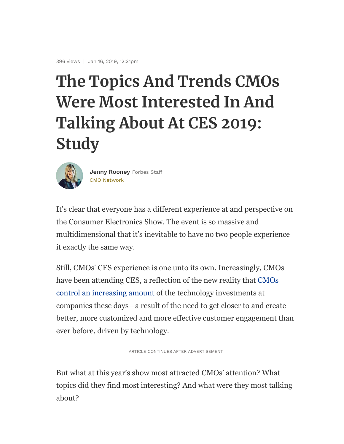## The Topics And Trends CMOs Were Most Interested In And Talking About At CES 2019: **Study**



CMO Network Jenny Rooney Forbes Staff

It's clear that everyone has a different experience at and perspective on the Consumer Electronics Show. The event is so massive and multidimensional that it's inevitable to have no two people experience it exactly the same way.

Still, CMOs' CES experience is one unto its own. Increasingly, CMOs have been attending CES, a reflection of the new reality that CMOs control an increasing amount of the technology investments at companies these days—a result of the need to get closer to and create better, more customized and more effective customer engagement than ever before, driven by technology.

ARTICLE CONTINUES AFTER ADVERTISEMENT

But what at this year's show most attracted CMOs' attention? What topics did they find most interesting? And what were they most talking about?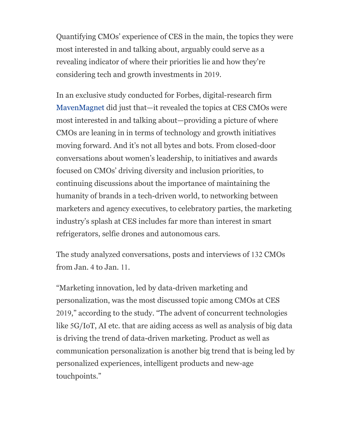Quantifying CMOs' experience of CES in the main, the topics they were most interested in and talking about, arguably could serve as a revealing indicator of where their priorities lie and how they're considering tech and growth investments in 2019.

In an exclusive study conducted for Forbes, digital-research firm MavenMagnet did just that—it revealed the topics at CES CMOs were most interested in and talking about—providing a picture of where CMOs are leaning in in terms of technology and growth initiatives moving forward. And it's not all bytes and bots. From closed-door conversations about women's leadership, to initiatives and awards focused on CMOs' driving diversity and inclusion priorities, to continuing discussions about the importance of maintaining the humanity of brands in a tech-driven world, to networking between marketers and agency executives, to celebratory parties, the marketing industry's splash at CES includes far more than interest in smart refrigerators, selfie drones and autonomous cars.

The study analyzed conversations, posts and interviews of 132 CMOs from Jan. 4 to Jan. 11.

"Marketing innovation, led by data-driven marketing and personalization, was the most discussed topic among CMOs at CES 2019," according to the study. "The advent of concurrent technologies like 5G/IoT, AI etc. that are aiding access as well as analysis of big data is driving the trend of data-driven marketing. Product as well as communication personalization is another big trend that is being led by personalized experiences, intelligent products and new-age touchpoints."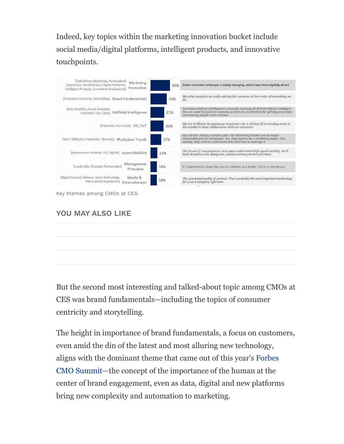Indeed, key topics within the marketing innovation bucket include social media/digital platforms, intelligent products, and innovative touchpoints.



## YOU MAY ALSO LIKE

But the second most interesting and talked-about topic among CMOs at CES was brand fundamentals—including the topics of consumer centricity and storytelling.

The height in importance of brand fundamentals, a focus on customers, even amid the din of the latest and most alluring new technology, aligns with the dominant theme that came out of this year's Forbes CMO Summit—the concept of the importance of the human at the center of brand engagement, even as data, digital and new platforms bring new complexity and automation to marketing.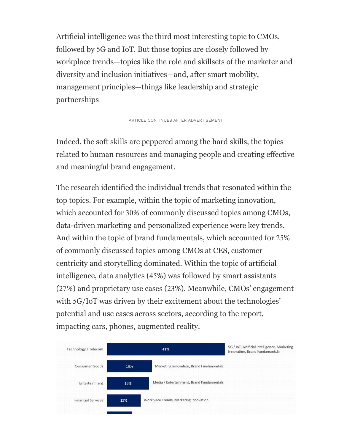Artificial intelligence was the third most interesting topic to CMOs, followed by 5G and IoT. But those topics are closely followed by workplace trends—topics like the role and skillsets of the marketer and diversity and inclusion initiatives—and, after smart mobility, management principles—things like leadership and strategic partnerships

ARTICLE CONTINUES AFTER ADVERTISEMENT

Indeed, the soft skills are peppered among the hard skills, the topics related to human resources and managing people and creating effective and meaningful brand engagement.

The research identified the individual trends that resonated within the top topics. For example, within the topic of marketing innovation, which accounted for 30% of commonly discussed topics among CMOs, data-driven marketing and personalized experience were key trends. And within the topic of brand fundamentals, which accounted for 25% of commonly discussed topics among CMOs at CES, customer centricity and storytelling dominated. Within the topic of artificial intelligence, data analytics (45%) was followed by smart assistants (27%) and proprietary use cases (23%). Meanwhile, CMOs' engagement with 5G/IoT was driven by their excitement about the technologies' potential and use cases across sectors, according to the report, impacting cars, phones, augmented reality.